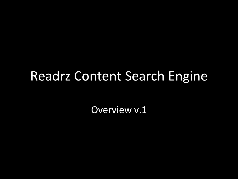### Readrz Content Search Engine

Overview v.1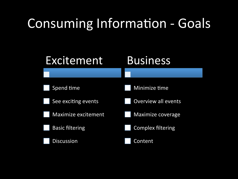## Consuming Information - Goals

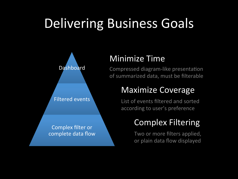## Delivering Business Goals



#### **Minimize Time**

Compressed diagram-like presentation of summarized data, must be filterable

#### Maximize Coverage

List of events filtered and sorted according to user's preference

### Complex Filtering

Two or more filters applied, or plain data flow displayed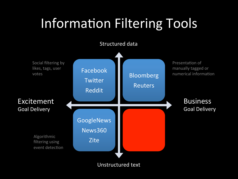## **Information Filtering Tools**



Unstructured text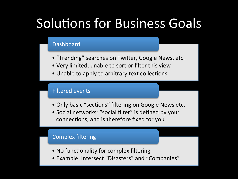## **Solutions for Business Goals**

#### Dashboard

- "Trending" searches on Twitter, Google News, etc.
- Very limited, unable to sort or filter this view
- Unable to apply to arbitrary text collections

#### **Filtered events**

- Only basic "sections" filtering on Google News etc.
- Social networks: "social filter" is defined by your connections, and is therefore fixed for you

#### Complex filtering

- No functionality for complex filtering
- Example: Intersect "Disasters" and "Companies"